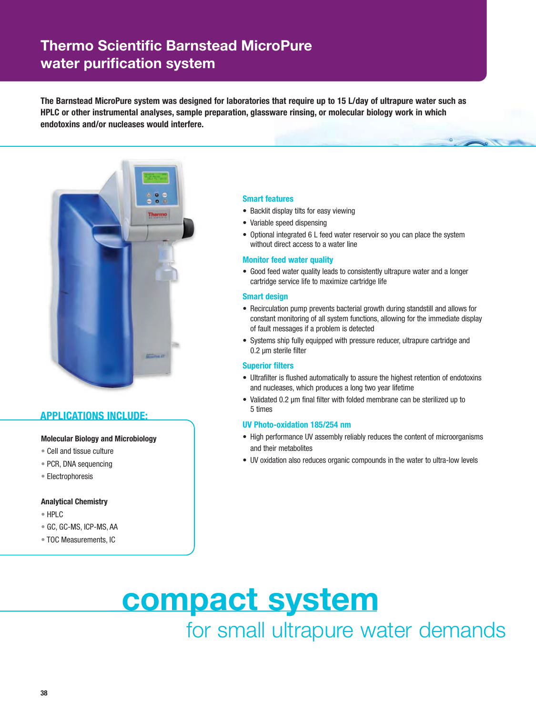## **Thermo Scientific Barnstead MicroPure water purification system**

**The Barnstead MicroPure system was designed for laboratories that require up to 15 L/day of ultrapure water such as HPLC or other instrumental analyses, sample preparation, glassware rinsing, or molecular biology work in which endotoxins and/or nucleases would interfere.**



### **APPLICATIONS INCLUDE:**

#### **Molecular Biology and Microbiology**

- Cell and tissue culture
- PCR, DNA sequencing
- Electrophoresis

#### **Analytical Chemistry**

- HPLC
- GC, GC-MS, ICP-MS, AA
- TOC Measurements, IC

#### **Smart features**

- Backlit display tilts for easy viewing
- Variable speed dispensing
- Optional integrated 6 L feed water reservoir so you can place the system without direct access to a water line

#### **Monitor feed water quality**

• Good feed water quality leads to consistently ultrapure water and a longer cartridge service life to maximize cartridge life

#### **Smart design**

- Recirculation pump prevents bacterial growth during standstill and allows for constant monitoring of all system functions, allowing for the immediate display of fault messages if a problem is detected
- Systems ship fully equipped with pressure reducer, ultrapure cartridge and 0.2 μm sterile filter

#### **Superior filters**

- Ultrafilter is flushed automatically to assure the highest retention of endotoxins and nucleases, which produces a long two year lifetime
- Validated 0.2 μm final filter with folded membrane can be sterilized up to 5 times

#### **UV Photo-oxidation 185/254 nm**

- High performance UV assembly reliably reduces the content of microorganisms and their metabolites
- UV oxidation also reduces organic compounds in the water to ultra-low levels

**compact system** for small ultrapure water demands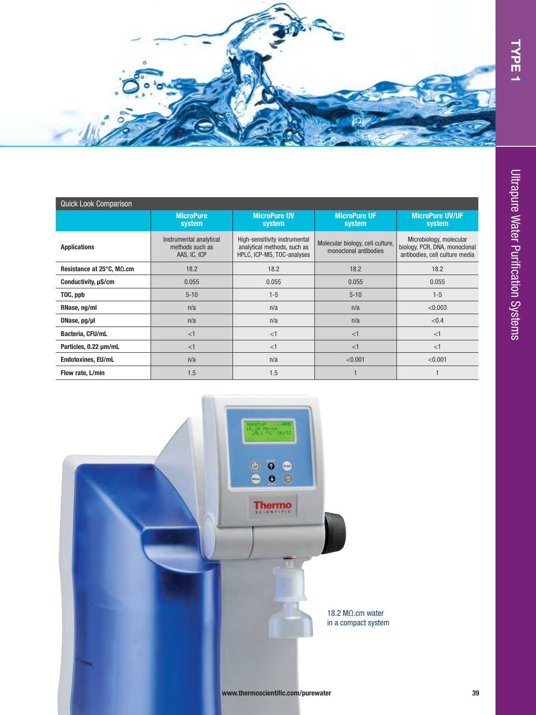

| <b>Quick Look Comparison</b> |                                                            |                                                                                            |                                                           |                                                                                            |  |  |  |  |  |
|------------------------------|------------------------------------------------------------|--------------------------------------------------------------------------------------------|-----------------------------------------------------------|--------------------------------------------------------------------------------------------|--|--|--|--|--|
|                              | <b>MicroPure</b><br>system                                 | <b>MicroPure UV</b><br>system                                                              | <b>MicroPure UF</b><br>system                             | <b>MicroPure UV/UF</b><br>system                                                           |  |  |  |  |  |
| <b>Applications</b>          | Instrumental analytical<br>methods such as<br>AAS, IC, ICP | High-sensitivity instrumental<br>analytical methods, such as<br>HPLC, ICP-MS, TOC-analyses | Molecular biology, cell culture,<br>monoclonal antibodies | Microbiology, molecular<br>biology, PCR, DNA, monoclonal<br>antibodies, cell culture media |  |  |  |  |  |
| Resistance at 25°C, MΩ.cm    | 18.2                                                       | 18.2                                                                                       | 18.2                                                      | 18.2                                                                                       |  |  |  |  |  |
| Conductivity, $\mu$ S/cm     | 0.055                                                      | 0.055                                                                                      | 0.055                                                     | 0.055                                                                                      |  |  |  |  |  |
| TOC, ppb                     | $5 - 10$                                                   | $1-5$                                                                                      | $5 - 10$                                                  | $1 - 5$                                                                                    |  |  |  |  |  |
| RNase, ng/ml                 | n/a                                                        | n/a                                                                                        | n/a                                                       | < 0.003                                                                                    |  |  |  |  |  |
| DNase, pg/µl                 | n/a                                                        | n/a                                                                                        | n/a                                                       | < 0.4                                                                                      |  |  |  |  |  |
| Bacteria, CFU/mL             | <1                                                         | $<$ 1                                                                                      | <1                                                        | <1                                                                                         |  |  |  |  |  |
| Particles, 0.22 um/mL        | <1                                                         | <1                                                                                         | <1                                                        | <1                                                                                         |  |  |  |  |  |
| Endotoxines, EU/mL           | n/a                                                        | n/a                                                                                        | < 0.001                                                   | < 0.001                                                                                    |  |  |  |  |  |
| Flow rate, L/min             | 1.5                                                        | 1.5                                                                                        |                                                           |                                                                                            |  |  |  |  |  |

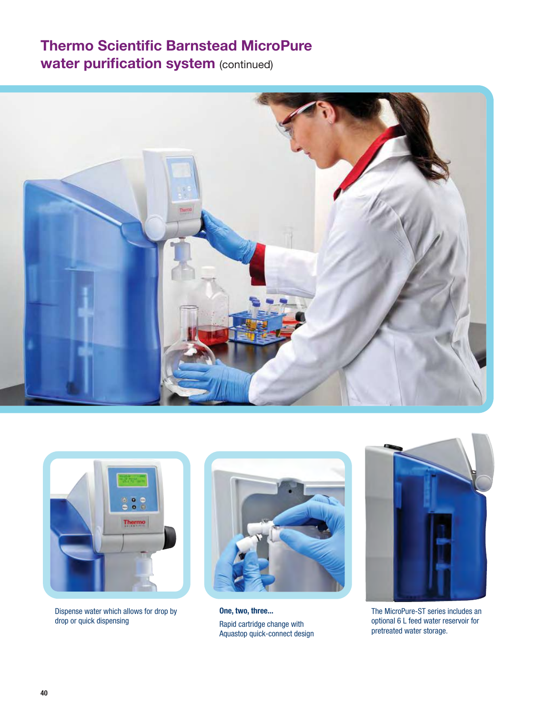# **Thermo Scientific Barnstead MicroPure**

**water purification system (continued)** 





Dispense water which allows for drop by drop or quick dispensing



**One, two, three...**  Rapid cartridge change with Aquastop quick-connect design



The MicroPure-ST series includes an optional 6 L feed water reservoir for pretreated water storage.